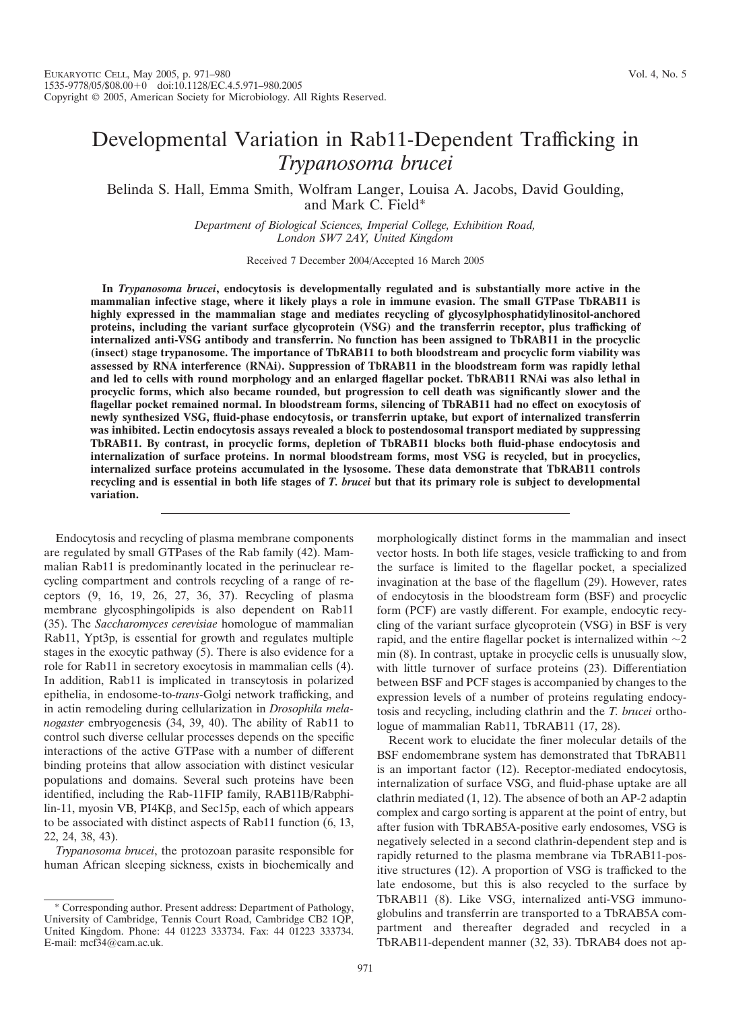# Developmental Variation in Rab11-Dependent Trafficking in *Trypanosoma brucei*

Belinda S. Hall, Emma Smith, Wolfram Langer, Louisa A. Jacobs, David Goulding, and Mark C. Field\*

> *Department of Biological Sciences, Imperial College, Exhibition Road, London SW7 2AY, United Kingdom*

> > Received 7 December 2004/Accepted 16 March 2005

**In** *Trypanosoma brucei***, endocytosis is developmentally regulated and is substantially more active in the mammalian infective stage, where it likely plays a role in immune evasion. The small GTPase TbRAB11 is highly expressed in the mammalian stage and mediates recycling of glycosylphosphatidylinositol-anchored proteins, including the variant surface glycoprotein (VSG) and the transferrin receptor, plus trafficking of internalized anti-VSG antibody and transferrin. No function has been assigned to TbRAB11 in the procyclic (insect) stage trypanosome. The importance of TbRAB11 to both bloodstream and procyclic form viability was assessed by RNA interference (RNAi). Suppression of TbRAB11 in the bloodstream form was rapidly lethal** and led to cells with round morphology and an enlarged flagellar pocket. TbRAB11 RNAi was also lethal in **procyclic forms, which also became rounded, but progression to cell death was significantly slower and the flagellar pocket remained normal. In bloodstream forms, silencing of TbRAB11 had no effect on exocytosis of newly synthesized VSG, fluid-phase endocytosis, or transferrin uptake, but export of internalized transferrin was inhibited. Lectin endocytosis assays revealed a block to postendosomal transport mediated by suppressing TbRAB11. By contrast, in procyclic forms, depletion of TbRAB11 blocks both fluid-phase endocytosis and internalization of surface proteins. In normal bloodstream forms, most VSG is recycled, but in procyclics, internalized surface proteins accumulated in the lysosome. These data demonstrate that TbRAB11 controls** recycling and is essential in both life stages of T. brucei but that its primary role is subject to developmental **variation.**

Endocytosis and recycling of plasma membrane components are regulated by small GTPases of the Rab family (42). Mammalian Rab11 is predominantly located in the perinuclear recycling compartment and controls recycling of a range of receptors (9, 16, 19, 26, 27, 36, 37). Recycling of plasma membrane glycosphingolipids is also dependent on Rab11 (35). The *Saccharomyces cerevisiae* homologue of mammalian Rab11, Ypt3p, is essential for growth and regulates multiple stages in the exocytic pathway (5). There is also evidence for a role for Rab11 in secretory exocytosis in mammalian cells (4). In addition, Rab11 is implicated in transcytosis in polarized epithelia, in endosome-to-*trans*-Golgi network trafficking, and in actin remodeling during cellularization in *Drosophila melanogaster* embryogenesis (34, 39, 40). The ability of Rab11 to control such diverse cellular processes depends on the specific interactions of the active GTPase with a number of different binding proteins that allow association with distinct vesicular populations and domains. Several such proteins have been identified, including the Rab-11FIP family, RAB11B/Rabphi $lin-11$ , myosin VB, PI4K $\beta$ , and Sec15p, each of which appears to be associated with distinct aspects of Rab11 function (6, 13, 22, 24, 38, 43).

*Trypanosoma brucei*, the protozoan parasite responsible for human African sleeping sickness, exists in biochemically and

morphologically distinct forms in the mammalian and insect vector hosts. In both life stages, vesicle trafficking to and from the surface is limited to the flagellar pocket, a specialized invagination at the base of the flagellum (29). However, rates of endocytosis in the bloodstream form (BSF) and procyclic form (PCF) are vastly different. For example, endocytic recycling of the variant surface glycoprotein (VSG) in BSF is very rapid, and the entire flagellar pocket is internalized within  $\sim$ 2 min (8). In contrast, uptake in procyclic cells is unusually slow, with little turnover of surface proteins (23). Differentiation between BSF and PCF stages is accompanied by changes to the expression levels of a number of proteins regulating endocytosis and recycling, including clathrin and the *T. brucei* orthologue of mammalian Rab11, TbRAB11 (17, 28).

Recent work to elucidate the finer molecular details of the BSF endomembrane system has demonstrated that TbRAB11 is an important factor (12). Receptor-mediated endocytosis, internalization of surface VSG, and fluid-phase uptake are all clathrin mediated (1, 12). The absence of both an AP-2 adaptin complex and cargo sorting is apparent at the point of entry, but after fusion with TbRAB5A-positive early endosomes, VSG is negatively selected in a second clathrin-dependent step and is rapidly returned to the plasma membrane via TbRAB11-positive structures (12). A proportion of VSG is trafficked to the late endosome, but this is also recycled to the surface by TbRAB11 (8). Like VSG, internalized anti-VSG immunoglobulins and transferrin are transported to a TbRAB5A compartment and thereafter degraded and recycled in a TbRAB11-dependent manner (32, 33). TbRAB4 does not ap-

<sup>\*</sup> Corresponding author. Present address: Department of Pathology, University of Cambridge, Tennis Court Road, Cambridge CB2 1QP, United Kingdom. Phone: 44 01223 333734. Fax: 44 01223 333734. E-mail: mcf34@cam.ac.uk.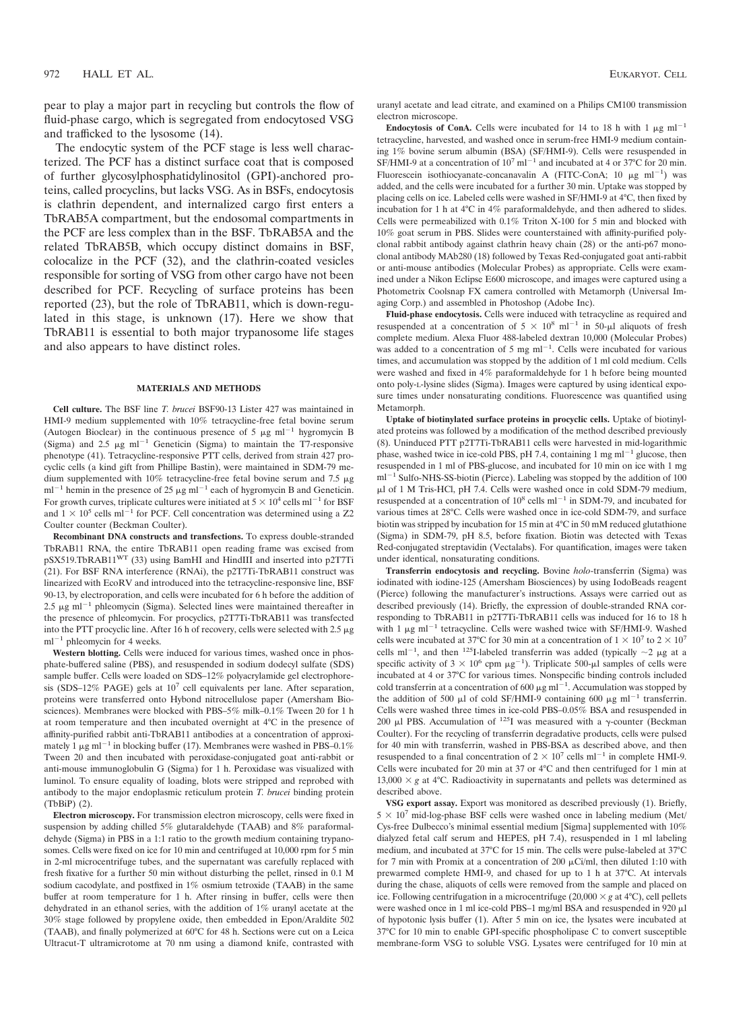pear to play a major part in recycling but controls the flow of fluid-phase cargo, which is segregated from endocytosed VSG and trafficked to the lysosome (14).

The endocytic system of the PCF stage is less well characterized. The PCF has a distinct surface coat that is composed of further glycosylphosphatidylinositol (GPI)-anchored proteins, called procyclins, but lacks VSG. As in BSFs, endocytosis is clathrin dependent, and internalized cargo first enters a TbRAB5A compartment, but the endosomal compartments in the PCF are less complex than in the BSF. TbRAB5A and the related TbRAB5B, which occupy distinct domains in BSF, colocalize in the PCF (32), and the clathrin-coated vesicles responsible for sorting of VSG from other cargo have not been described for PCF. Recycling of surface proteins has been reported (23), but the role of TbRAB11, which is down-regulated in this stage, is unknown (17). Here we show that TbRAB11 is essential to both major trypanosome life stages and also appears to have distinct roles.

#### **MATERIALS AND METHODS**

**Cell culture.** The BSF line *T. brucei* BSF90-13 Lister 427 was maintained in HMI-9 medium supplemented with 10% tetracycline-free fetal bovine serum (Autogen Bioclear) in the continuous presence of 5  $\mu$ g ml<sup>-1</sup> hygromycin B (Sigma) and 2.5  $\mu$ g ml<sup>-1</sup> Geneticin (Sigma) to maintain the T7-responsive phenotype (41). Tetracycline-responsive PTT cells, derived from strain 427 procyclic cells (a kind gift from Phillipe Bastin), were maintained in SDM-79 medium supplemented with  $10\%$  tetracycline-free fetal bovine serum and 7.5  $\mu$ g ml<sup>-1</sup> hemin in the presence of 25  $\mu$ g ml<sup>-1</sup> each of hygromycin B and Geneticin. For growth curves, triplicate cultures were initiated at  $5 \times 10^4$  cells ml<sup>-1</sup> for BSF and  $1 \times 10^5$  cells ml<sup>-1</sup> for PCF. Cell concentration was determined using a Z2 Coulter counter (Beckman Coulter).

**Recombinant DNA constructs and transfections.** To express double-stranded TbRAB11 RNA, the entire TbRAB11 open reading frame was excised from pSX519.TbRAB11WT (33) using BamHI and HindIII and inserted into p2T7Ti (21). For BSF RNA interference (RNAi), the p2T7Ti-TbRAB11 construct was linearized with EcoRV and introduced into the tetracycline-responsive line, BSF 90-13, by electroporation, and cells were incubated for 6 h before the addition of  $2.5 \mu g$  ml<sup>-1</sup> phleomycin (Sigma). Selected lines were maintained thereafter in the presence of phleomycin. For procyclics, p2T7Ti-TbRAB11 was transfected into the PTT procyclic line. After 16 h of recovery, cells were selected with  $2.5 \mu$ g  $ml^{-1}$  phleomycin for 4 weeks.

**Western blotting.** Cells were induced for various times, washed once in phosphate-buffered saline (PBS), and resuspended in sodium dodecyl sulfate (SDS) sample buffer. Cells were loaded on SDS–12% polyacrylamide gel electrophoresis (SDS–12% PAGE) gels at 10<sup>7</sup> cell equivalents per lane. After separation, proteins were transferred onto Hybond nitrocellulose paper (Amersham Biosciences). Membranes were blocked with PBS–5% milk–0.1% Tween 20 for 1 h at room temperature and then incubated overnight at 4°C in the presence of affinity-purified rabbit anti-TbRAB11 antibodies at a concentration of approximately 1  $\mu$ g ml<sup>-1</sup> in blocking buffer (17). Membranes were washed in PBS–0.1% Tween 20 and then incubated with peroxidase-conjugated goat anti-rabbit or anti-mouse immunoglobulin G (Sigma) for 1 h. Peroxidase was visualized with luminol. To ensure equality of loading, blots were stripped and reprobed with antibody to the major endoplasmic reticulum protein *T. brucei* binding protein (TbBiP) (2).

**Electron microscopy.** For transmission electron microscopy, cells were fixed in suspension by adding chilled 5% glutaraldehyde (TAAB) and 8% paraformaldehyde (Sigma) in PBS in a 1:1 ratio to the growth medium containing trypanosomes. Cells were fixed on ice for 10 min and centrifuged at 10,000 rpm for 5 min in 2-ml microcentrifuge tubes, and the supernatant was carefully replaced with fresh fixative for a further 50 min without disturbing the pellet, rinsed in 0.1 M sodium cacodylate, and postfixed in 1% osmium tetroxide (TAAB) in the same buffer at room temperature for 1 h. After rinsing in buffer, cells were then dehydrated in an ethanol series, with the addition of 1% uranyl acetate at the 30% stage followed by propylene oxide, then embedded in Epon/Araldite 502 (TAAB), and finally polymerized at 60°C for 48 h. Sections were cut on a Leica Ultracut-T ultramicrotome at 70 nm using a diamond knife, contrasted with uranyl acetate and lead citrate, and examined on a Philips CM100 transmission electron microscope.

**Endocytosis of ConA.** Cells were incubated for 14 to 18 h with 1  $\mu$ g ml<sup>-1</sup> tetracycline, harvested, and washed once in serum-free HMI-9 medium containing 1% bovine serum albumin (BSA) (SF/HMI-9). Cells were resuspended in SF/HMI-9 at a concentration of  $10^7$  ml<sup>-1</sup> and incubated at 4 or 37°C for 20 min. Fluorescein isothiocyanate-concanavalin A (FITC-ConA; 10  $\mu$ g ml<sup>-1</sup>) was added, and the cells were incubated for a further 30 min. Uptake was stopped by placing cells on ice. Labeled cells were washed in SF/HMI-9 at 4°C, then fixed by incubation for 1 h at 4°C in 4% paraformaldehyde, and then adhered to slides. Cells were permeabilized with 0.1% Triton X-100 for 5 min and blocked with 10% goat serum in PBS. Slides were counterstained with affinity-purified polyclonal rabbit antibody against clathrin heavy chain (28) or the anti-p67 monoclonal antibody MAb280 (18) followed by Texas Red-conjugated goat anti-rabbit or anti-mouse antibodies (Molecular Probes) as appropriate. Cells were examined under a Nikon Eclipse E600 microscope, and images were captured using a Photometrix Coolsnap FX camera controlled with Metamorph (Universal Imaging Corp.) and assembled in Photoshop (Adobe Inc).

**Fluid-phase endocytosis.** Cells were induced with tetracycline as required and resuspended at a concentration of  $5 \times 10^8$  ml<sup>-1</sup> in 50- $\mu$ l aliquots of fresh complete medium. Alexa Fluor 488-labeled dextran 10,000 (Molecular Probes) was added to a concentration of 5 mg  $ml^{-1}$ . Cells were incubated for various times, and accumulation was stopped by the addition of 1 ml cold medium. Cells were washed and fixed in 4% paraformaldehyde for 1 h before being mounted onto poly-L-lysine slides (Sigma). Images were captured by using identical exposure times under nonsaturating conditions. Fluorescence was quantified using Metamorph.

**Uptake of biotinylated surface proteins in procyclic cells.** Uptake of biotinylated proteins was followed by a modification of the method described previously (8). Uninduced PTT p2T7Ti-TbRAB11 cells were harvested in mid-logarithmic phase, washed twice in ice-cold PBS, pH 7.4, containing 1 mg  $ml^{-1}$  glucose, then resuspended in 1 ml of PBS-glucose, and incubated for 10 min on ice with 1 mg  $ml^{-1}$  Sulfo-NHS-SS-biotin (Pierce). Labeling was stopped by the addition of 100  $\mu$ l of 1 M Tris-HCl, pH 7.4. Cells were washed once in cold SDM-79 medium, resuspended at a concentration of  $10^8$  cells ml<sup>-1</sup> in SDM-79, and incubated for various times at 28°C. Cells were washed once in ice-cold SDM-79, and surface biotin was stripped by incubation for 15 min at 4°C in 50 mM reduced glutathione (Sigma) in SDM-79, pH 8.5, before fixation. Biotin was detected with Texas Red-conjugated streptavidin (Vectalabs). For quantification, images were taken under identical, nonsaturating conditions.

**Transferrin endocytosis and recycling.** Bovine *holo*-transferrin (Sigma) was iodinated with iodine-125 (Amersham Biosciences) by using IodoBeads reagent (Pierce) following the manufacturer's instructions. Assays were carried out as described previously (14). Briefly, the expression of double-stranded RNA corresponding to TbRAB11 in p2T7Ti-TbRAB11 cells was induced for 16 to 18 h with 1  $\mu$ g ml<sup>-1</sup> tetracycline. Cells were washed twice with SF/HMI-9. Washed cells were incubated at 37°C for 30 min at a concentration of  $1 \times 10^7$  to  $2 \times 10^7$ cells ml<sup>-1</sup>, and then <sup>125</sup>I-labeled transferrin was added (typically  $\sim$ 2  $\mu$ g at a specific activity of  $3 \times 10^6$  cpm  $\mu$ g<sup>-1</sup>). Triplicate 500- $\mu$ l samples of cells were incubated at 4 or 37°C for various times. Nonspecific binding controls included cold transferrin at a concentration of 600  $\mu$ g ml<sup>-1</sup>. Accumulation was stopped by the addition of 500  $\mu$ l of cold SF/HMI-9 containing 600  $\mu$ g ml<sup>-1</sup> transferrin. Cells were washed three times in ice-cold PBS–0.05% BSA and resuspended in 200  $\mu$ l PBS. Accumulation of <sup>125</sup>I was measured with a  $\gamma$ -counter (Beckman Coulter). For the recycling of transferrin degradative products, cells were pulsed for 40 min with transferrin, washed in PBS-BSA as described above, and then resuspended to a final concentration of  $2 \times 10^7$  cells ml<sup>-1</sup> in complete HMI-9. Cells were incubated for 20 min at 37 or 4°C and then centrifuged for 1 min at 13,000  $\times$  *g* at 4°C. Radioactivity in supernatants and pellets was determined as described above.

**VSG export assay.** Export was monitored as described previously (1). Briefly,  $5 \times 10^7$  mid-log-phase BSF cells were washed once in labeling medium (Met/ Cys-free Dulbecco's minimal essential medium [Sigma] supplemented with 10% dialyzed fetal calf serum and HEPES, pH 7.4), resuspended in 1 ml labeling medium, and incubated at 37°C for 15 min. The cells were pulse-labeled at 37°C for 7 min with Promix at a concentration of 200  $\mu$ Ci/ml, then diluted 1:10 with prewarmed complete HMI-9, and chased for up to 1 h at 37°C. At intervals during the chase, aliquots of cells were removed from the sample and placed on ice. Following centrifugation in a microcentrifuge  $(20,000 \times g$  at 4°C), cell pellets were washed once in 1 ml ice-cold PBS-1 mg/ml BSA and resuspended in 920  $\mu$ l of hypotonic lysis buffer (1). After 5 min on ice, the lysates were incubated at 37°C for 10 min to enable GPI-specific phospholipase C to convert susceptible membrane-form VSG to soluble VSG. Lysates were centrifuged for 10 min at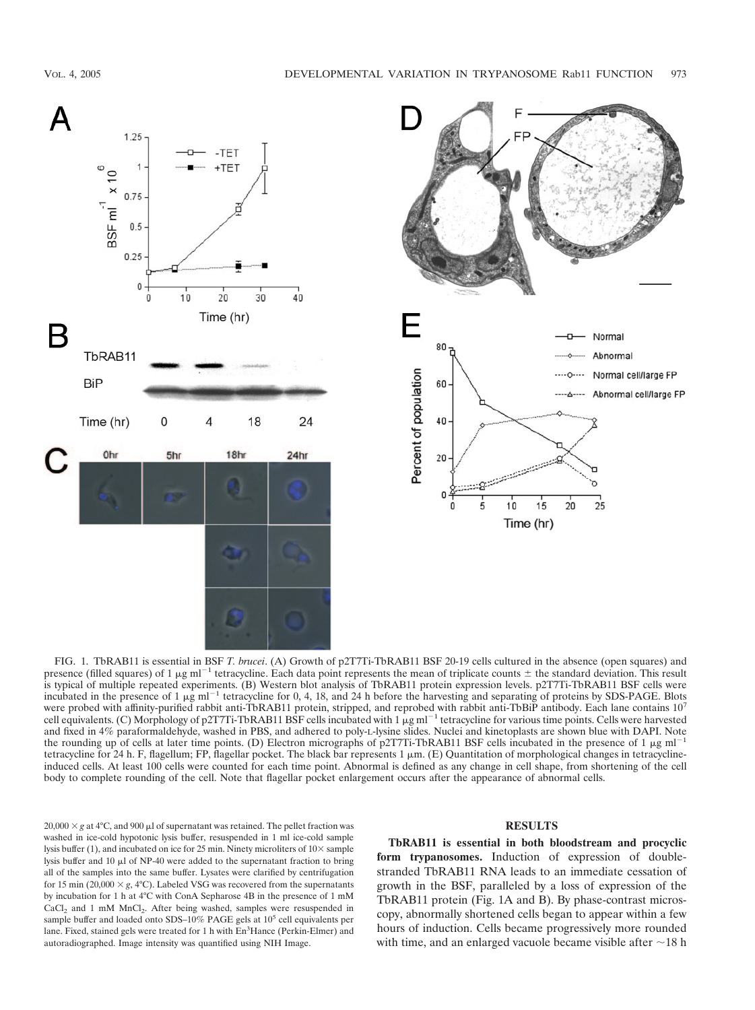



FIG. 1. TbRAB11 is essential in BSF *T. brucei*. (A) Growth of p2T7Ti-TbRAB11 BSF 20-19 cells cultured in the absence (open squares) and presence (filled squares) of 1  $\mu$ g ml<sup>-1</sup> tetracycline. Each data point represents the mean of triplicate counts  $\pm$  the standard deviation. This result is typical of multiple repeated experiments. (B) Western blot analysis of TbRAB11 protein expression levels. p2T7Ti-TbRAB11 BSF cells were incubated in the presence of 1  $\mu$ g ml<sup>-1</sup> tetracycline for 0, 4, 18, and 24 h before the harvesting and separating of proteins by SDS-PAGE. Blots were probed with affinity-purified rabbit anti-TbRAB11 protein, stripped, and reprobed with rabbit anti-TbBiP antibody. Each lane contains  $10<sup>7</sup>$ cell equivalents. (C) Morphology of p2T7Ti-TbRAB11 BSF cells incubated with 1  $\mu$ g ml<sup>-1</sup> tetracycline for various time points. Cells were harvested and fixed in 4% paraformaldehyde, washed in PBS, and adhered to poly-L-lysine slides. Nuclei and kinetoplasts are shown blue with DAPI. Note the rounding up of cells at later time points. (D) Electron micrographs of p2T7Ti-TbRAB11 BSF cells incubated in the presence of 1  $\mu$ g ml<sup>-1</sup> tetracycline for 24 h. F, flagellum; FP, flagellar pocket. The black bar represents  $1 \mu$ m. (E) Quantitation of morphological changes in tetracyclineinduced cells. At least 100 cells were counted for each time point. Abnormal is defined as any change in cell shape, from shortening of the cell body to complete rounding of the cell. Note that flagellar pocket enlargement occurs after the appearance of abnormal cells.

 $20,000 \times g$  at 4°C, and 900  $\mu$ l of supernatant was retained. The pellet fraction was washed in ice-cold hypotonic lysis buffer, resuspended in 1 ml ice-cold sample lysis buffer (1), and incubated on ice for 25 min. Ninety microliters of  $10\times$  sample lysis buffer and 10  $\mu$ l of NP-40 were added to the supernatant fraction to bring all of the samples into the same buffer. Lysates were clarified by centrifugation for 15 min (20,000  $\times$  *g*, 4°C). Labeled VSG was recovered from the supernatants by incubation for 1 h at 4°C with ConA Sepharose 4B in the presence of 1 mM CaCl<sub>2</sub> and 1 mM MnCl<sub>2</sub>. After being washed, samples were resuspended in sample buffer and loaded onto SDS-10% PAGE gels at  $10^5$  cell equivalents per lane. Fixed, stained gels were treated for 1 h with En<sup>3</sup>Hance (Perkin-Elmer) and autoradiographed. Image intensity was quantified using NIH Image.

# **RESULTS**

**TbRAB11 is essential in both bloodstream and procyclic form trypanosomes.** Induction of expression of doublestranded TbRAB11 RNA leads to an immediate cessation of growth in the BSF, paralleled by a loss of expression of the TbRAB11 protein (Fig. 1A and B). By phase-contrast microscopy, abnormally shortened cells began to appear within a few hours of induction. Cells became progressively more rounded with time, and an enlarged vacuole became visible after  $\sim$ 18 h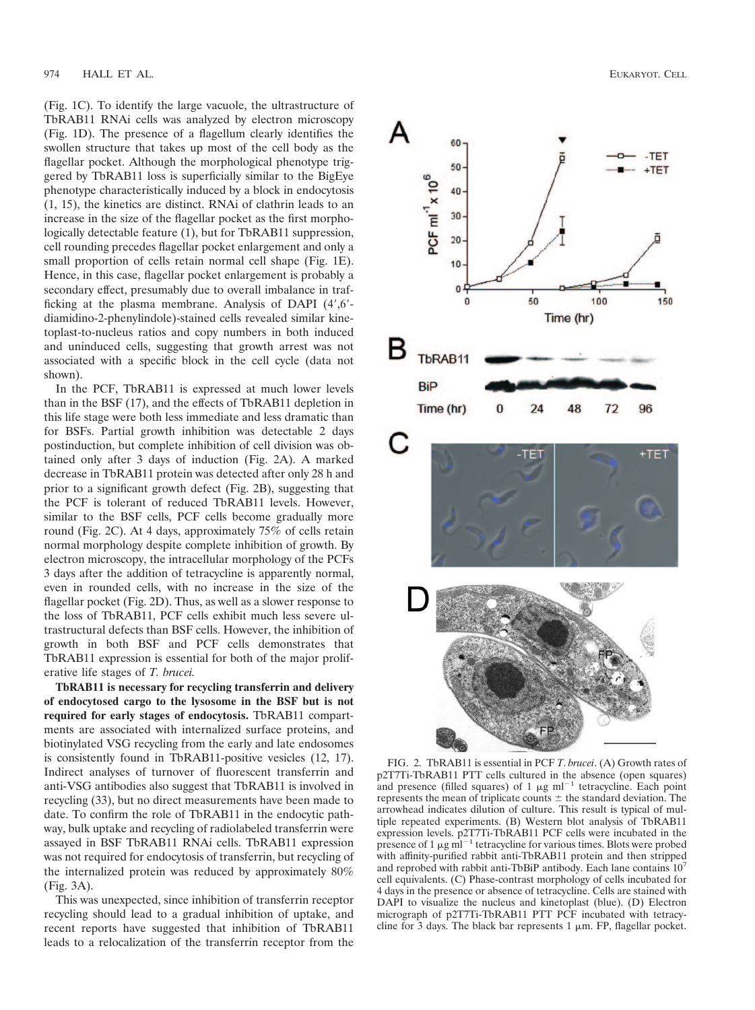(Fig. 1C). To identify the large vacuole, the ultrastructure of TbRAB11 RNAi cells was analyzed by electron microscopy (Fig. 1D). The presence of a flagellum clearly identifies the swollen structure that takes up most of the cell body as the flagellar pocket. Although the morphological phenotype triggered by TbRAB11 loss is superficially similar to the BigEye phenotype characteristically induced by a block in endocytosis (1, 15), the kinetics are distinct. RNAi of clathrin leads to an increase in the size of the flagellar pocket as the first morphologically detectable feature (1), but for TbRAB11 suppression, cell rounding precedes flagellar pocket enlargement and only a small proportion of cells retain normal cell shape (Fig. 1E). Hence, in this case, flagellar pocket enlargement is probably a secondary effect, presumably due to overall imbalance in trafficking at the plasma membrane. Analysis of DAPI (4',6'diamidino-2-phenylindole)-stained cells revealed similar kinetoplast-to-nucleus ratios and copy numbers in both induced and uninduced cells, suggesting that growth arrest was not associated with a specific block in the cell cycle (data not shown).

In the PCF, TbRAB11 is expressed at much lower levels than in the BSF (17), and the effects of TbRAB11 depletion in this life stage were both less immediate and less dramatic than for BSFs. Partial growth inhibition was detectable 2 days postinduction, but complete inhibition of cell division was obtained only after 3 days of induction (Fig. 2A). A marked decrease in TbRAB11 protein was detected after only 28 h and prior to a significant growth defect (Fig. 2B), suggesting that the PCF is tolerant of reduced TbRAB11 levels. However, similar to the BSF cells, PCF cells become gradually more round (Fig. 2C). At 4 days, approximately 75% of cells retain normal morphology despite complete inhibition of growth. By electron microscopy, the intracellular morphology of the PCFs 3 days after the addition of tetracycline is apparently normal, even in rounded cells, with no increase in the size of the flagellar pocket (Fig. 2D). Thus, as well as a slower response to the loss of TbRAB11, PCF cells exhibit much less severe ultrastructural defects than BSF cells. However, the inhibition of growth in both BSF and PCF cells demonstrates that TbRAB11 expression is essential for both of the major proliferative life stages of *T. brucei.*

**TbRAB11 is necessary for recycling transferrin and delivery of endocytosed cargo to the lysosome in the BSF but is not required for early stages of endocytosis.** TbRAB11 compartments are associated with internalized surface proteins, and biotinylated VSG recycling from the early and late endosomes is consistently found in TbRAB11-positive vesicles (12, 17). Indirect analyses of turnover of fluorescent transferrin and anti-VSG antibodies also suggest that TbRAB11 is involved in recycling (33), but no direct measurements have been made to date. To confirm the role of TbRAB11 in the endocytic pathway, bulk uptake and recycling of radiolabeled transferrin were assayed in BSF TbRAB11 RNAi cells. TbRAB11 expression was not required for endocytosis of transferrin, but recycling of the internalized protein was reduced by approximately 80% (Fig. 3A).

This was unexpected, since inhibition of transferrin receptor recycling should lead to a gradual inhibition of uptake, and recent reports have suggested that inhibition of TbRAB11 leads to a relocalization of the transferrin receptor from the



FIG. 2. TbRAB11 is essential in PCF *T*. *brucei*. (A) Growth rates of p2T7Ti-TbRAB11 PTT cells cultured in the absence (open squares) and presence (filled squares) of 1  $\mu$ g ml<sup>-1</sup> tetracycline. Each point represents the mean of triplicate counts  $\pm$  the standard deviation. The arrowhead indicates dilution of culture. This result is typical of multiple repeated experiments. (B) Western blot analysis of TbRAB11 expression levels. p2T7Ti-TbRAB11 PCF cells were incubated in the presence of  $1 \mu g$  ml<sup> $-1$ </sup> tetracycline for various times. Blots were probed with affinity-purified rabbit anti-TbRAB11 protein and then stripped and reprobed with rabbit anti-TbBiP antibody. Each lane contains 107 cell equivalents. (C) Phase-contrast morphology of cells incubated for 4 days in the presence or absence of tetracycline. Cells are stained with DAPI to visualize the nucleus and kinetoplast (blue). (D) Electron micrograph of p2T7Ti-TbRAB11 PTT PCF incubated with tetracycline for 3 days. The black bar represents  $1 \mu m$ . FP, flagellar pocket.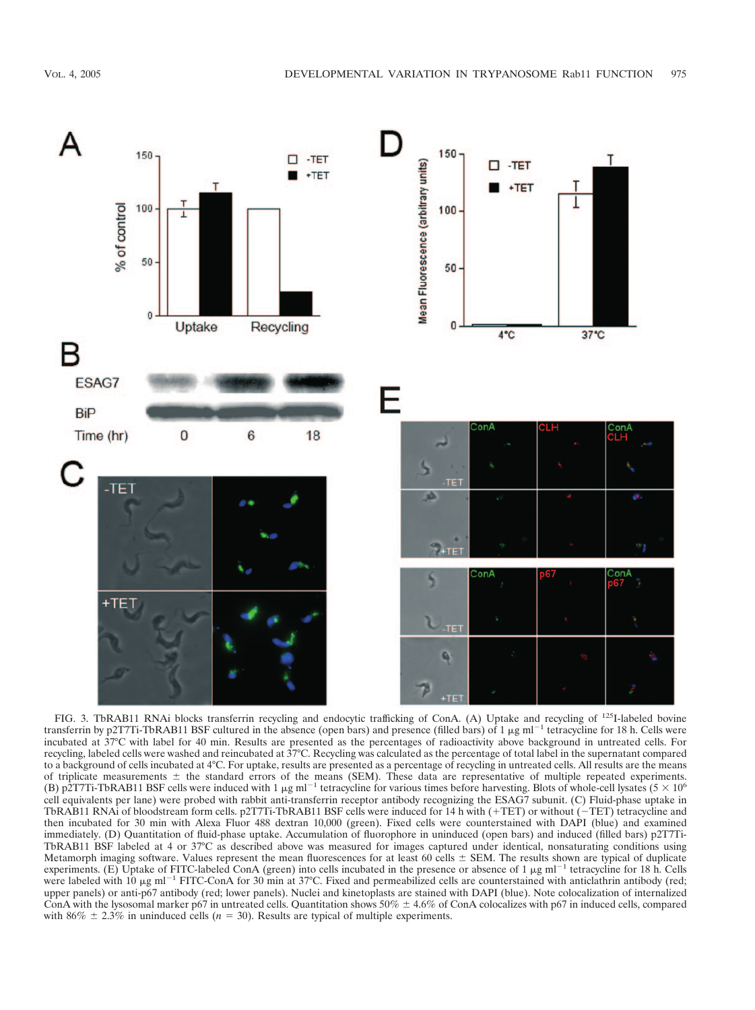

FIG. 3. TbRAB11 RNAi blocks transferrin recycling and endocytic trafficking of ConA. (A) Uptake and recycling of <sup>125</sup>I-labeled bovine transferrin by p2T7Ti-TbRAB11 BSF cultured in the absence (open bars) and presence (filled bars) of 1  $\mu$ g ml<sup>-1</sup> tetracycline for 18 h. Cells were incubated at 37°C with label for 40 min. Results are presented as the percentages of radioactivity above background in untreated cells. For recycling, labeled cells were washed and reincubated at 37°C. Recycling was calculated as the percentage of total label in the supernatant compared to a background of cells incubated at 4°C. For uptake, results are presented as a percentage of recycling in untreated cells. All results are the means of triplicate measurements  $\pm$  the standard errors of the means (SEM). These data are representative of multiple repeated experiments. (B) p2T7Ti-TbRAB11 BSF cells were induced with 1  $\mu$ g ml<sup>-1</sup> tetracycline for various times before harvesting. Blots of whole-cell lysates (5  $\times$  10<sup>6</sup>) cell equivalents per lane) were probed with rabbit anti-transferrin receptor antibody recognizing the ESAG7 subunit. (C) Fluid-phase uptake in TbRAB11 RNAi of bloodstream form cells. p2T7Ti-TbRAB11 BSF cells were induced for 14 h with (+TET) or without (-TET) tetracycline and then incubated for 30 min with Alexa Fluor 488 dextran 10,000 (green). Fixed cells were counterstained with DAPI (blue) and examined immediately. (D) Quantitation of fluid-phase uptake. Accumulation of fluorophore in uninduced (open bars) and induced (filled bars) p2T7Ti-TbRAB11 BSF labeled at 4 or 37°C as described above was measured for images captured under identical, nonsaturating conditions using Metamorph imaging software. Values represent the mean fluorescences for at least 60 cells  $\pm$  SEM. The results shown are typical of duplicate experiments. (E) Uptake of FITC-labeled ConA (green) into cells incubated in the presence or absence of 1  $\mu$ g ml<sup>-1</sup> tetracycline for 18 h. Cells were labeled with 10  $\mu$ g ml<sup>-1</sup> FITC-ConA for 30 min at 37°C. Fixed and permeabilized cells are counterstained with anticlathrin antibody (red; upper panels) or anti-p67 antibody (red; lower panels). Nuclei and kinetoplasts are stained with DAPI (blue). Note colocalization of internalized ConA with the lysosomal marker p67 in untreated cells. Quantitation shows  $50\% \pm 4.6\%$  of ConA colocalizes with p67 in induced cells, compared with 86%  $\pm$  2.3% in uninduced cells ( $n = 30$ ). Results are typical of multiple experiments.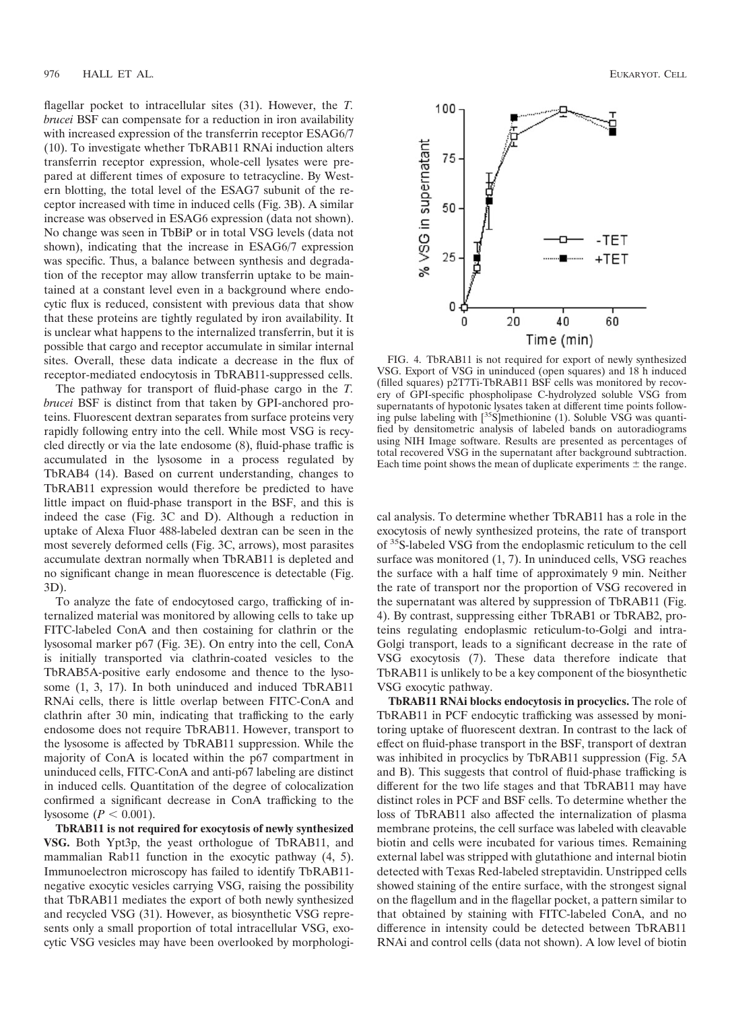flagellar pocket to intracellular sites (31). However, the *T. brucei* BSF can compensate for a reduction in iron availability with increased expression of the transferrin receptor ESAG6/7 (10). To investigate whether TbRAB11 RNAi induction alters transferrin receptor expression, whole-cell lysates were prepared at different times of exposure to tetracycline. By Western blotting, the total level of the ESAG7 subunit of the receptor increased with time in induced cells (Fig. 3B). A similar increase was observed in ESAG6 expression (data not shown). No change was seen in TbBiP or in total VSG levels (data not shown), indicating that the increase in ESAG6/7 expression was specific. Thus, a balance between synthesis and degradation of the receptor may allow transferrin uptake to be maintained at a constant level even in a background where endocytic flux is reduced, consistent with previous data that show that these proteins are tightly regulated by iron availability. It is unclear what happens to the internalized transferrin, but it is possible that cargo and receptor accumulate in similar internal sites. Overall, these data indicate a decrease in the flux of receptor-mediated endocytosis in TbRAB11-suppressed cells.

The pathway for transport of fluid-phase cargo in the *T. brucei* BSF is distinct from that taken by GPI-anchored proteins. Fluorescent dextran separates from surface proteins very rapidly following entry into the cell. While most VSG is recycled directly or via the late endosome (8), fluid-phase traffic is accumulated in the lysosome in a process regulated by TbRAB4 (14). Based on current understanding, changes to TbRAB11 expression would therefore be predicted to have little impact on fluid-phase transport in the BSF, and this is indeed the case (Fig. 3C and D). Although a reduction in uptake of Alexa Fluor 488-labeled dextran can be seen in the most severely deformed cells (Fig. 3C, arrows), most parasites accumulate dextran normally when TbRAB11 is depleted and no significant change in mean fluorescence is detectable (Fig. 3D).

To analyze the fate of endocytosed cargo, trafficking of internalized material was monitored by allowing cells to take up FITC-labeled ConA and then costaining for clathrin or the lysosomal marker p67 (Fig. 3E). On entry into the cell, ConA is initially transported via clathrin-coated vesicles to the TbRAB5A-positive early endosome and thence to the lysosome (1, 3, 17). In both uninduced and induced TbRAB11 RNAi cells, there is little overlap between FITC-ConA and clathrin after 30 min, indicating that trafficking to the early endosome does not require TbRAB11. However, transport to the lysosome is affected by TbRAB11 suppression. While the majority of ConA is located within the p67 compartment in uninduced cells, FITC-ConA and anti-p67 labeling are distinct in induced cells. Quantitation of the degree of colocalization confirmed a significant decrease in ConA trafficking to the lysosome ( $P < 0.001$ ).

**TbRAB11 is not required for exocytosis of newly synthesized VSG.** Both Ypt3p, the yeast orthologue of TbRAB11, and mammalian Rab11 function in the exocytic pathway (4, 5). Immunoelectron microscopy has failed to identify TbRAB11 negative exocytic vesicles carrying VSG, raising the possibility that TbRAB11 mediates the export of both newly synthesized and recycled VSG (31). However, as biosynthetic VSG represents only a small proportion of total intracellular VSG, exocytic VSG vesicles may have been overlooked by morphologi-



FIG. 4. TbRAB11 is not required for export of newly synthesized VSG. Export of VSG in uninduced (open squares) and 18 h induced (filled squares) p2T7Ti-TbRAB11 BSF cells was monitored by recovery of GPI-specific phospholipase C-hydrolyzed soluble VSG from supernatants of hypotonic lysates taken at different time points following pulse labeling with  $\left[^{35}S\right]$ methionine (1). Soluble VSG was quantified by densitometric analysis of labeled bands on autoradiograms using NIH Image software. Results are presented as percentages of total recovered VSG in the supernatant after background subtraction. Each time point shows the mean of duplicate experiments  $\pm$  the range.

cal analysis. To determine whether TbRAB11 has a role in the exocytosis of newly synthesized proteins, the rate of transport of 35S-labeled VSG from the endoplasmic reticulum to the cell surface was monitored (1, 7). In uninduced cells, VSG reaches the surface with a half time of approximately 9 min. Neither the rate of transport nor the proportion of VSG recovered in the supernatant was altered by suppression of TbRAB11 (Fig. 4). By contrast, suppressing either TbRAB1 or TbRAB2, proteins regulating endoplasmic reticulum-to-Golgi and intra-Golgi transport, leads to a significant decrease in the rate of VSG exocytosis (7). These data therefore indicate that TbRAB11 is unlikely to be a key component of the biosynthetic VSG exocytic pathway.

**TbRAB11 RNAi blocks endocytosis in procyclics.** The role of TbRAB11 in PCF endocytic trafficking was assessed by monitoring uptake of fluorescent dextran. In contrast to the lack of effect on fluid-phase transport in the BSF, transport of dextran was inhibited in procyclics by TbRAB11 suppression (Fig. 5A and B). This suggests that control of fluid-phase trafficking is different for the two life stages and that TbRAB11 may have distinct roles in PCF and BSF cells. To determine whether the loss of TbRAB11 also affected the internalization of plasma membrane proteins, the cell surface was labeled with cleavable biotin and cells were incubated for various times. Remaining external label was stripped with glutathione and internal biotin detected with Texas Red-labeled streptavidin. Unstripped cells showed staining of the entire surface, with the strongest signal on the flagellum and in the flagellar pocket, a pattern similar to that obtained by staining with FITC-labeled ConA, and no difference in intensity could be detected between TbRAB11 RNAi and control cells (data not shown). A low level of biotin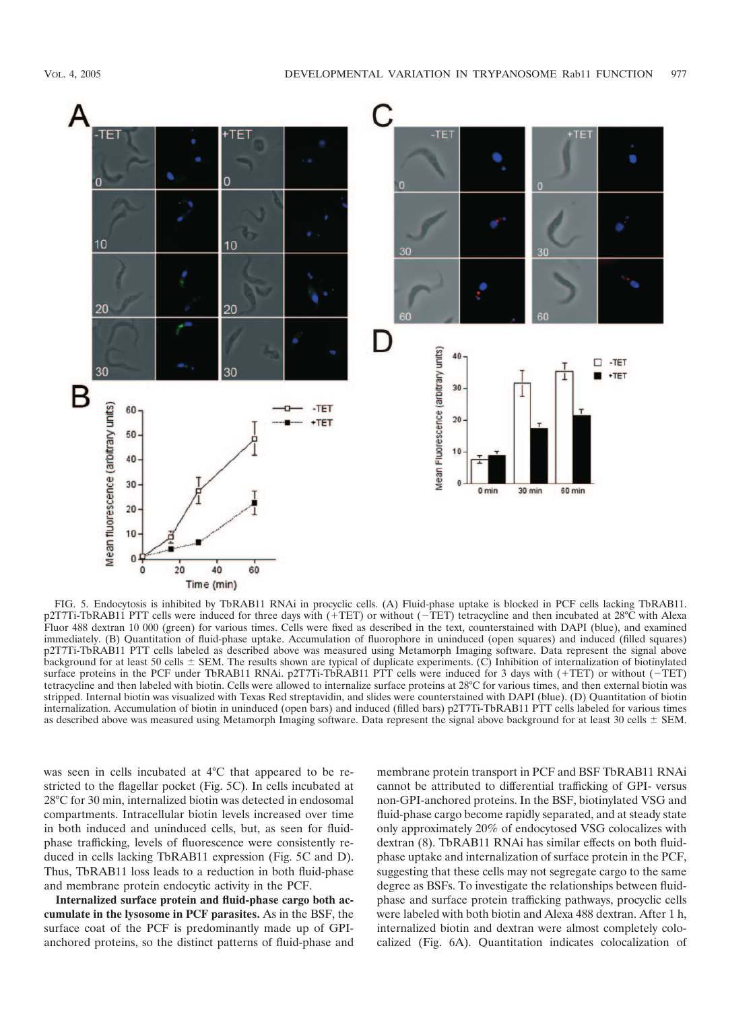

FIG. 5. Endocytosis is inhibited by TbRAB11 RNAi in procyclic cells. (A) Fluid-phase uptake is blocked in PCF cells lacking TbRAB11. p2T7Ti-TbRAB11 PTT cells were induced for three days with  $(+TET)$  or without  $(-TET)$  tetracycline and then incubated at 28°C with Alexa Fluor 488 dextran 10 000 (green) for various times. Cells were fixed as described in the text, counterstained with DAPI (blue), and examined immediately. (B) Quantitation of fluid-phase uptake. Accumulation of fluorophore in uninduced (open squares) and induced (filled squares) p2T7Ti-TbRAB11 PTT cells labeled as described above was measured using Metamorph Imaging software. Data represent the signal above background for at least 50 cells  $\pm$  SEM. The results shown are typical of duplicate experiments. (C) Inhibition of internalization of biotinylated surface proteins in the PCF under TbRAB11 RNAi. p2T7Ti-TbRAB11 PTT cells were induced for 3 days with  $(+TET)$  or without  $(-TET)$ tetracycline and then labeled with biotin. Cells were allowed to internalize surface proteins at 28°C for various times, and then external biotin was stripped. Internal biotin was visualized with Texas Red streptavidin, and slides were counterstained with DAPI (blue). (D) Quantitation of biotin internalization. Accumulation of biotin in uninduced (open bars) and induced (filled bars) p2T7Ti-TbRAB11 PTT cells labeled for various times as described above was measured using Metamorph Imaging software. Data represent the signal above background for at least 30 cells  $\pm$  SEM.

was seen in cells incubated at 4°C that appeared to be restricted to the flagellar pocket (Fig. 5C). In cells incubated at 28°C for 30 min, internalized biotin was detected in endosomal compartments. Intracellular biotin levels increased over time in both induced and uninduced cells, but, as seen for fluidphase trafficking, levels of fluorescence were consistently reduced in cells lacking TbRAB11 expression (Fig. 5C and D). Thus, TbRAB11 loss leads to a reduction in both fluid-phase and membrane protein endocytic activity in the PCF.

**Internalized surface protein and fluid-phase cargo both accumulate in the lysosome in PCF parasites.** As in the BSF, the surface coat of the PCF is predominantly made up of GPIanchored proteins, so the distinct patterns of fluid-phase and membrane protein transport in PCF and BSF TbRAB11 RNAi cannot be attributed to differential trafficking of GPI- versus non-GPI-anchored proteins. In the BSF, biotinylated VSG and fluid-phase cargo become rapidly separated, and at steady state only approximately 20% of endocytosed VSG colocalizes with dextran (8). TbRAB11 RNAi has similar effects on both fluidphase uptake and internalization of surface protein in the PCF, suggesting that these cells may not segregate cargo to the same degree as BSFs. To investigate the relationships between fluidphase and surface protein trafficking pathways, procyclic cells were labeled with both biotin and Alexa 488 dextran. After 1 h, internalized biotin and dextran were almost completely colocalized (Fig. 6A). Quantitation indicates colocalization of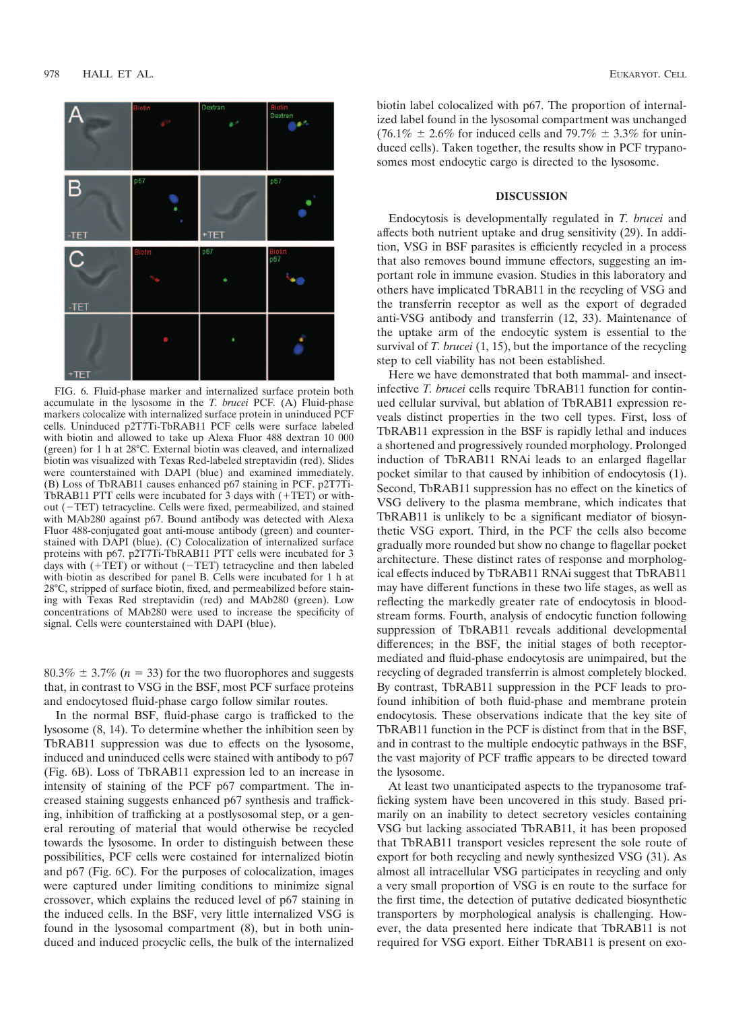

FIG. 6. Fluid-phase marker and internalized surface protein both accumulate in the lysosome in the *T. brucei* PCF*.* (A) Fluid-phase markers colocalize with internalized surface protein in uninduced PCF cells. Uninduced p2T7Ti-TbRAB11 PCF cells were surface labeled with biotin and allowed to take up Alexa Fluor 488 dextran 10 000 (green) for 1 h at 28°C. External biotin was cleaved, and internalized biotin was visualized with Texas Red-labeled streptavidin (red). Slides were counterstained with DAPI (blue) and examined immediately. (B) Loss of TbRAB11 causes enhanced p67 staining in PCF. p2T7Ti-TbRAB11 PTT cells were incubated for  $3$  days with  $(+TET)$  or without  $(-TET)$  tetracycline. Cells were fixed, permeabilized, and stained with MAb280 against p67. Bound antibody was detected with Alexa Fluor 488-conjugated goat anti-mouse antibody (green) and counterstained with DAPI (blue). (C) Colocalization of internalized surface proteins with p67. p2T7Ti-TbRAB11 PTT cells were incubated for 3 days with  $(+TET)$  or without  $(-TET)$  tetracycline and then labeled with biotin as described for panel B. Cells were incubated for 1 h at 28°C, stripped of surface biotin, fixed, and permeabilized before staining with Texas Red streptavidin (red) and MAb280 (green). Low concentrations of MAb280 were used to increase the specificity of signal. Cells were counterstained with DAPI (blue).

 $80.3\% \pm 3.7\%$  ( $n = 33$ ) for the two fluorophores and suggests that, in contrast to VSG in the BSF, most PCF surface proteins and endocytosed fluid-phase cargo follow similar routes.

In the normal BSF, fluid-phase cargo is trafficked to the lysosome (8, 14). To determine whether the inhibition seen by TbRAB11 suppression was due to effects on the lysosome, induced and uninduced cells were stained with antibody to p67 (Fig. 6B). Loss of TbRAB11 expression led to an increase in intensity of staining of the PCF p67 compartment. The increased staining suggests enhanced p67 synthesis and trafficking, inhibition of trafficking at a postlysosomal step, or a general rerouting of material that would otherwise be recycled towards the lysosome. In order to distinguish between these possibilities, PCF cells were costained for internalized biotin and p67 (Fig. 6C). For the purposes of colocalization, images were captured under limiting conditions to minimize signal crossover, which explains the reduced level of p67 staining in the induced cells. In the BSF, very little internalized VSG is found in the lysosomal compartment (8), but in both uninduced and induced procyclic cells, the bulk of the internalized

biotin label colocalized with p67. The proportion of internalized label found in the lysosomal compartment was unchanged  $(76.1\% \pm 2.6\%$  for induced cells and  $79.7\% \pm 3.3\%$  for uninduced cells). Taken together, the results show in PCF trypanosomes most endocytic cargo is directed to the lysosome.

## **DISCUSSION**

Endocytosis is developmentally regulated in *T. brucei* and affects both nutrient uptake and drug sensitivity (29). In addition, VSG in BSF parasites is efficiently recycled in a process that also removes bound immune effectors, suggesting an important role in immune evasion. Studies in this laboratory and others have implicated TbRAB11 in the recycling of VSG and the transferrin receptor as well as the export of degraded anti-VSG antibody and transferrin (12, 33). Maintenance of the uptake arm of the endocytic system is essential to the survival of *T. brucei* (1, 15), but the importance of the recycling step to cell viability has not been established.

Here we have demonstrated that both mammal- and insectinfective *T. brucei* cells require TbRAB11 function for continued cellular survival, but ablation of TbRAB11 expression reveals distinct properties in the two cell types. First, loss of TbRAB11 expression in the BSF is rapidly lethal and induces a shortened and progressively rounded morphology. Prolonged induction of TbRAB11 RNAi leads to an enlarged flagellar pocket similar to that caused by inhibition of endocytosis (1). Second, TbRAB11 suppression has no effect on the kinetics of VSG delivery to the plasma membrane, which indicates that TbRAB11 is unlikely to be a significant mediator of biosynthetic VSG export. Third, in the PCF the cells also become gradually more rounded but show no change to flagellar pocket architecture. These distinct rates of response and morphological effects induced by TbRAB11 RNAi suggest that TbRAB11 may have different functions in these two life stages, as well as reflecting the markedly greater rate of endocytosis in bloodstream forms. Fourth, analysis of endocytic function following suppression of TbRAB11 reveals additional developmental differences; in the BSF, the initial stages of both receptormediated and fluid-phase endocytosis are unimpaired, but the recycling of degraded transferrin is almost completely blocked. By contrast, TbRAB11 suppression in the PCF leads to profound inhibition of both fluid-phase and membrane protein endocytosis. These observations indicate that the key site of TbRAB11 function in the PCF is distinct from that in the BSF, and in contrast to the multiple endocytic pathways in the BSF, the vast majority of PCF traffic appears to be directed toward the lysosome.

At least two unanticipated aspects to the trypanosome trafficking system have been uncovered in this study. Based primarily on an inability to detect secretory vesicles containing VSG but lacking associated TbRAB11, it has been proposed that TbRAB11 transport vesicles represent the sole route of export for both recycling and newly synthesized VSG (31). As almost all intracellular VSG participates in recycling and only a very small proportion of VSG is en route to the surface for the first time, the detection of putative dedicated biosynthetic transporters by morphological analysis is challenging. However, the data presented here indicate that TbRAB11 is not required for VSG export. Either TbRAB11 is present on exo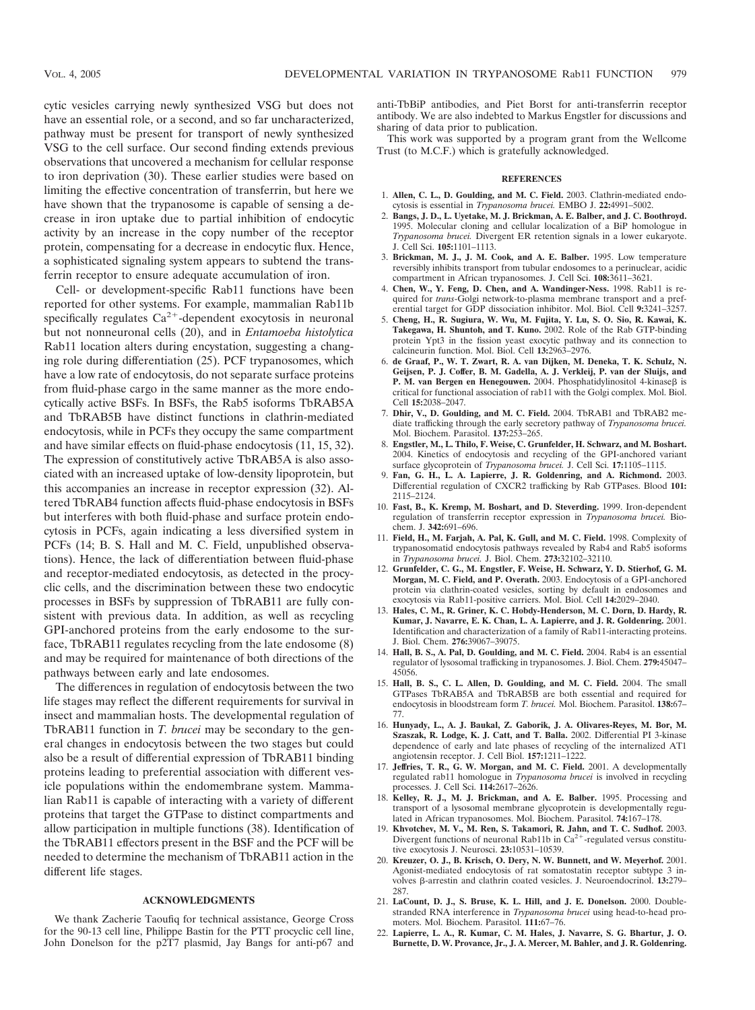cytic vesicles carrying newly synthesized VSG but does not have an essential role, or a second, and so far uncharacterized, pathway must be present for transport of newly synthesized VSG to the cell surface. Our second finding extends previous observations that uncovered a mechanism for cellular response to iron deprivation (30). These earlier studies were based on limiting the effective concentration of transferrin, but here we have shown that the trypanosome is capable of sensing a decrease in iron uptake due to partial inhibition of endocytic activity by an increase in the copy number of the receptor protein, compensating for a decrease in endocytic flux. Hence, a sophisticated signaling system appears to subtend the transferrin receptor to ensure adequate accumulation of iron.

Cell- or development-specific Rab11 functions have been reported for other systems. For example, mammalian Rab11b specifically regulates  $Ca^{2+}$ -dependent exocytosis in neuronal but not nonneuronal cells (20), and in *Entamoeba histolytica* Rab11 location alters during encystation, suggesting a changing role during differentiation (25). PCF trypanosomes, which have a low rate of endocytosis, do not separate surface proteins from fluid-phase cargo in the same manner as the more endocytically active BSFs. In BSFs, the Rab5 isoforms TbRAB5A and TbRAB5B have distinct functions in clathrin-mediated endocytosis, while in PCFs they occupy the same compartment and have similar effects on fluid-phase endocytosis (11, 15, 32). The expression of constitutively active TbRAB5A is also associated with an increased uptake of low-density lipoprotein, but this accompanies an increase in receptor expression (32). Altered TbRAB4 function affects fluid-phase endocytosis in BSFs but interferes with both fluid-phase and surface protein endocytosis in PCFs, again indicating a less diversified system in PCFs (14; B. S. Hall and M. C. Field, unpublished observations). Hence, the lack of differentiation between fluid-phase and receptor-mediated endocytosis, as detected in the procyclic cells, and the discrimination between these two endocytic processes in BSFs by suppression of TbRAB11 are fully consistent with previous data. In addition, as well as recycling GPI-anchored proteins from the early endosome to the surface, TbRAB11 regulates recycling from the late endosome (8) and may be required for maintenance of both directions of the pathways between early and late endosomes.

The differences in regulation of endocytosis between the two life stages may reflect the different requirements for survival in insect and mammalian hosts. The developmental regulation of TbRAB11 function in *T. brucei* may be secondary to the general changes in endocytosis between the two stages but could also be a result of differential expression of TbRAB11 binding proteins leading to preferential association with different vesicle populations within the endomembrane system. Mammalian Rab11 is capable of interacting with a variety of different proteins that target the GTPase to distinct compartments and allow participation in multiple functions (38). Identification of the TbRAB11 effectors present in the BSF and the PCF will be needed to determine the mechanism of TbRAB11 action in the different life stages.

## **ACKNOWLEDGMENTS**

We thank Zacherie Taoufiq for technical assistance, George Cross for the 90-13 cell line, Philippe Bastin for the PTT procyclic cell line, John Donelson for the p2T7 plasmid, Jay Bangs for anti-p67 and anti-TbBiP antibodies, and Piet Borst for anti-transferrin receptor antibody. We are also indebted to Markus Engstler for discussions and sharing of data prior to publication.

This work was supported by a program grant from the Wellcome Trust (to M.C.F.) which is gratefully acknowledged.

#### **REFERENCES**

- 1. **Allen, C. L., D. Goulding, and M. C. Field.** 2003. Clathrin-mediated endocytosis is essential in *Trypanosoma brucei.* EMBO J. **22:**4991–5002.
- 2. **Bangs, J. D., L. Uyetake, M. J. Brickman, A. E. Balber, and J. C. Boothroyd.** 1995. Molecular cloning and cellular localization of a BiP homologue in *Trypanosoma brucei.* Divergent ER retention signals in a lower eukaryote. J. Cell Sci. **105:**1101–1113.
- 3. **Brickman, M. J., J. M. Cook, and A. E. Balber.** 1995. Low temperature reversibly inhibits transport from tubular endosomes to a perinuclear, acidic compartment in African trypanosomes. J. Cell Sci. **108:**3611–3621.
- 4. **Chen, W., Y. Feng, D. Chen, and A. Wandinger-Ness.** 1998. Rab11 is required for *trans*-Golgi network-to-plasma membrane transport and a preferential target for GDP dissociation inhibitor. Mol. Biol. Cell **9:**3241–3257.
- 5. **Cheng, H., R. Sugiura, W. Wu, M. Fujita, Y. Lu, S. O. Sio, R. Kawai, K. Takegawa, H. Shuntoh, and T. Kuno.** 2002. Role of the Rab GTP-binding protein Ypt3 in the fission yeast exocytic pathway and its connection to calcineurin function. Mol. Biol. Cell **13:**2963–2976.
- 6. **de Graaf, P., W. T. Zwart, R. A. van Dijken, M. Deneka, T. K. Schulz, N. Geijsen, P. J. Coffer, B. M. Gadella, A. J. Verkleij, P. van der Sluijs, and** P. M. van Bergen en Henegouwen. 2004. Phosphatidylinositol 4-kinaseß is critical for functional association of rab11 with the Golgi complex. Mol. Biol. Cell **15:**2038–2047.
- 7. **Dhir, V., D. Goulding, and M. C. Field.** 2004. TbRAB1 and TbRAB2 mediate trafficking through the early secretory pathway of *Trypanosoma brucei.* Mol. Biochem. Parasitol. **137:**253–265.
- 8. **Engstler, M., L. Thilo, F. Weise, C. Grunfelder, H. Schwarz, and M. Boshart.** 2004. Kinetics of endocytosis and recycling of the GPI-anchored variant surface glycoprotein of *Trypanosoma brucei.* J. Cell Sci. **17:**1105–1115.
- 9. **Fan, G. H., L. A. Lapierre, J. R. Goldenring, and A. Richmond.** 2003. Differential regulation of CXCR2 trafficking by Rab GTPases. Blood **101:** 2115–2124.
- 10. **Fast, B., K. Kremp, M. Boshart, and D. Steverding.** 1999. Iron-dependent regulation of transferrin receptor expression in *Trypanosoma brucei.* Biochem. J. **342:**691–696.
- 11. **Field, H., M. Farjah, A. Pal, K. Gull, and M. C. Field.** 1998. Complexity of trypanosomatid endocytosis pathways revealed by Rab4 and Rab5 isoforms in *Trypanosoma brucei.* J. Biol. Chem. **273:**32102–32110.
- 12. **Grunfelder, C. G., M. Engstler, F. Weise, H. Schwarz, Y. D. Stierhof, G. M. Morgan, M. C. Field, and P. Overath.** 2003. Endocytosis of a GPI-anchored protein via clathrin-coated vesicles, sorting by default in endosomes and exocytosis via Rab11-positive carriers. Mol. Biol. Cell **14:**2029–2040.
- 13. **Hales, C. M., R. Griner, K. C. Hobdy-Henderson, M. C. Dorn, D. Hardy, R. Kumar, J. Navarre, E. K. Chan, L. A. Lapierre, and J. R. Goldenring.** 2001. Identification and characterization of a family of Rab11-interacting proteins. J. Biol. Chem. **276:**39067–39075.
- 14. **Hall, B. S., A. Pal, D. Goulding, and M. C. Field.** 2004. Rab4 is an essential regulator of lysosomal trafficking in trypanosomes. J. Biol. Chem. **279:**45047– 45056.
- 15. **Hall, B. S., C. L. Allen, D. Goulding, and M. C. Field.** 2004. The small GTPases TbRAB5A and TbRAB5B are both essential and required for endocytosis in bloodstream form *T. brucei.* Mol. Biochem. Parasitol. **138:**67– 77.
- 16. **Hunyady, L., A. J. Baukal, Z. Gaborik, J. A. Olivares-Reyes, M. Bor, M. Szaszak, R. Lodge, K. J. Catt, and T. Balla.** 2002. Differential PI 3-kinase dependence of early and late phases of recycling of the internalized AT1 angiotensin receptor. J. Cell Biol. **157:**1211–1222.
- 17. **Jeffries, T. R., G. W. Morgan, and M. C. Field.** 2001. A developmentally regulated rab11 homologue in *Trypanosoma brucei* is involved in recycling processes. J. Cell Sci. **114:**2617–2626.
- 18. **Kelley, R. J., M. J. Brickman, and A. E. Balber.** 1995. Processing and transport of a lysosomal membrane glycoprotein is developmentally regulated in African trypanosomes. Mol. Biochem. Parasitol. **74:**167–178.
- 19. **Khvotchev, M. V., M. Ren, S. Takamori, R. Jahn, and T. C. Sudhof.** 2003. Divergent functions of neuronal Rab11b in  $Ca^{2+}$ -regulated versus constitutive exocytosis J. Neurosci. **23:**10531–10539.
- 20. **Kreuzer, O. J., B. Krisch, O. Dery, N. W. Bunnett, and W. Meyerhof.** 2001. Agonist-mediated endocytosis of rat somatostatin receptor subtype 3 involves  $\beta$ -arrestin and clathrin coated vesicles. J. Neuroendocrinol. **13:**279– 287.
- 21. **LaCount, D. J., S. Bruse, K. L. Hill, and J. E. Donelson.** 2000. Doublestranded RNA interference in *Trypanosoma brucei* using head-to-head promoters. Mol. Biochem. Parasitol. **111:**67–76.
- 22. **Lapierre, L. A., R. Kumar, C. M. Hales, J. Navarre, S. G. Bhartur, J. O. Burnette, D. W. Provance, Jr., J. A. Mercer, M. Bahler, and J. R. Goldenring.**